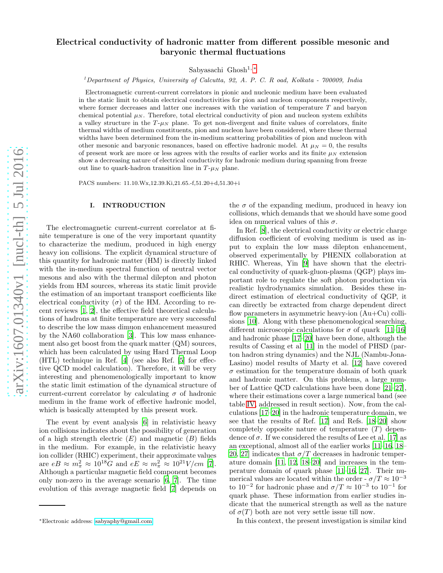# Electrical conductivity of hadronic matter from different possible mesonic and baryonic thermal fluctuations

Sabyasachi Ghosh1, [∗](#page-0-0)

<sup>1</sup>Department of Physics, University of Calcutta, 92, A. P. C. R oad, Kolkata - 700009, India

Electromagnetic current-current correlators in pionic and nucleonic medium have been evaluated in the static limit to obtain electrical conductivities for pion and nucleon components respectively, where former decreases and latter one increases with the variation of temperature  $T$  and baryon chemical potential  $\mu_N$ . Therefore, total electrical conductivity of pion and nucleon system exhibits a valley structure in the  $T$ - $\mu$ <sub>N</sub> plane. To get non-divergent and finite values of correlators, finite thermal widths of medium constituents, pion and nucleon have been considered, where these thermal widths have been determined from the in-medium scattering probabilities of pion and nucleon with other mesonic and baryonic resonances, based on effective hadronic model. At  $\mu_N = 0$ , the results of present work are more or less agrees with the results of earlier works and its finite  $\mu_N$  extension show a decreasing nature of electrical conductivity for hadronic medium during spanning from freeze out line to quark-hadron transition line in  $T-\mu_N$  plane.

PACS numbers: 11.10.Wx,12.39.Ki,21.65.-f,51.20+d,51.30+i

## I. INTRODUCTION

The electromagnetic current-current correlator at finite temperature is one of the very important quantity to characterize the medium, produced in high energy heavy ion collisions. The explicit dynamical structure of this quantity for hadronic matter (HM) is directly linked with the in-medium spectral function of neutral vector mesons and also with the thermal dilepton and photon yields from HM sources, whereas its static limit provide the estimation of an important transport coefficients like electrical conductivity  $(\sigma)$  of the HM. According to recent reviews [\[1,](#page-8-0) [2\]](#page-8-1), the effective field theoretical calculations of hadrons at finite temperature are very successful to describe the low mass dimuon enhancement measured by the NA60 collaboration [\[3\]](#page-8-2). This low mass enhancement also get boost from the quark matter (QM) sources. which has been calculated by using Hard Thermal Loop (HTL) technique in Ref. [\[4\]](#page-8-3) (see also Ref. [\[5](#page-8-4)] for effective QCD model calculation). Therefore, it will be very interesting and phenomenologically important to know the static limit estimation of the dynamical structure of current-current correlator by calculating  $\sigma$  of hadronic medium in the frame work of effective hadronic model, which is basically attempted by this present work.

The event by event analysis [\[6\]](#page-8-5) in relativistic heavy ion collisions indicates about the possibility of generation of a high strength electric  $(E)$  and magnetic  $(B)$  fields in the medium. For example, in the relativistic heavy ion collider (RHIC) experiment, their approximate values are  $eB \approx m_{\pi}^2 \approx 10^{18} G$  and  $eE \approx m_{\pi}^2 \approx 10^{21} V/cm$  [\[7\]](#page-8-6). Although a particular magnetic field component becomes only non-zero in the average scenario [\[6](#page-8-5), [7](#page-8-6)]. The time evolution of this average magnetic field [\[7\]](#page-8-6) depends on the  $\sigma$  of the expanding medium, produced in heavy ion collisions, which demands that we should have some good idea on numerical values of this  $\sigma$ .

In Ref. [\[8\]](#page-8-7), the electrical conductivity or electric charge diffusion coefficient of evolving medium is used as input to explain the low mass dilepton enhancement, observed experimentally by PHENIX collaboration at RHIC. Whereas, Yin [\[9](#page-8-8)] have shown that the electrical conductivity of quark-gluon-plasma (QGP) plays important role to regulate the soft photon production via realistic hydrodynamics simulation. Besides these indirect estimation of electrical conductivity of QGP, it can directly be extracted from charge dependent direct flow parameters in asymmetric heavy-ion (Au+Cu) collisions [\[10\]](#page-8-9). Along with these phenomenological searching, different microscopic calculations for  $\sigma$  of quark [\[11](#page-8-10)[–16\]](#page-9-0) and hadronic phase [\[17](#page-9-1)[–20\]](#page-9-2) have been done, although the results of Cassing et al [\[11\]](#page-8-10) in the model of PHSD (parton hadron string dynamics) and the NJL (Nambu-Jona-Lasino) model results of Marty et al. [\[12](#page-8-11)] have covered  $\sigma$  estimation for the temperature domain of both quark and hadronic matter. On this problems, a large number of Lattice QCD calculations have been done [\[21](#page-9-3)[–27\]](#page-9-4), where their estimations cover a large numerical band (see table [IV,](#page-6-0) addressed in result section). Now, from the calculations [\[17](#page-9-1)[–20\]](#page-9-2) in the hadronic temperature domain, we see that the results of Ref. [\[17](#page-9-1)] and Refs. [\[18](#page-9-5)[–20\]](#page-9-2) show completely opposite nature of temperature  $(T)$  dependence of  $\sigma$ . If we considered the results of Lee et al. [\[17](#page-9-1)] as an exceptional, almost all of the earlier works [\[11](#page-8-10)[–16,](#page-9-0) [18](#page-9-5)– [20,](#page-9-2) [27\]](#page-9-4) indicates that  $\sigma/T$  decreases in hadronic temperature domain [\[11](#page-8-10), [12,](#page-8-11) [18](#page-9-5)[–20\]](#page-9-2) and increases in the temperature domain of quark phase [\[11](#page-8-10)[–16](#page-9-0), [27\]](#page-9-4). Their numerical values are located within the order -  $\sigma/T \approx 10^{-3}$ to  $10^{-2}$  for hadronic phase and  $\sigma/T \approx 10^{-3}$  to  $10^{-1}$  for quark phase. These information from earlier studies indicate that the numerical strength as well as the nature of  $\sigma(T)$  both are not very settle issue till now.

In this context, the present investigation is similar kind

<span id="page-0-0"></span><sup>∗</sup>Electronic address: [sabyaphy@gmail.com](mailto:sabyaphy@gmail.com)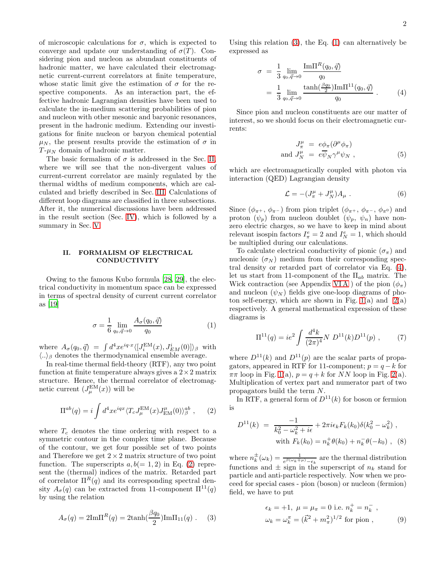of microscopic calculations for  $\sigma$ , which is expected to converge and update our understanding of  $\sigma(T)$ . Considering pion and nucleon as abundant constituents of hadronic matter, we have calculated their electromagnetic current-current correlators at finite temperature, whose static limit give the estimation of  $\sigma$  for the respective components. As an interaction part, the effective hadronic Lagrangian densities have been used to calculate the in-medium scattering probabilities of pion and nucleon with other mesonic and baryonic resonances, present in the hadronic medium. Extending our investigations for finite nucleon or baryon chemical potential  $\mu_N$ , the present results provide the estimation of  $\sigma$  in  $T$ - $\mu$ <sub>N</sub> domain of hadronic matter.

The basic formalism of  $\sigma$  is addressed in the Sec. [II,](#page-1-0) where we will see that the non-divergent values of current-current correlator are mainly regulated by the thermal widths of medium components, which are calculated and briefly described in Sec. [III.](#page-3-0) Calculations of different loop diagrams are classified in three subsections. After it, the numerical discussions have been addressed in the result section (Sec. [IV\)](#page-4-0), which is followed by a summary in Sec. [V.](#page-7-0)

## <span id="page-1-0"></span>II. FORMALISM OF ELECTRICAL **CONDUCTIVITY**

Owing to the famous Kubo formula [\[28,](#page-9-6) [29](#page-9-7)], the electrical conductivity in momentum space can be expressed in terms of spectral density of current current correlator as [\[19\]](#page-9-8)

<span id="page-1-3"></span>
$$
\sigma = \frac{1}{6} \lim_{q_0, \vec{q} \to 0} \frac{A_{\sigma}(q_0, \vec{q})}{q_0} \tag{1}
$$

where  $A_{\sigma}(q_0, \vec{q}) = \int d^4x e^{iq \cdot x} \langle [J_i^{EM}(x), J_{EM}^i(0)] \rangle_{\beta}$  with  $\langle .. \rangle_{\beta}$  denotes the thermodynamical ensemble average.

In real-time thermal field-theory (RTF), any two point function at finite temperature always gives a  $2 \times 2$  matrix structure. Hence, the thermal correlator of electromagnetic current  $(J<sub>\mu</sub><sup>EM</sup>(x))$  will be

<span id="page-1-1"></span>
$$
\Pi^{ab}(q) = i \int d^4x e^{iqx} \langle T_c J^{\text{EM}}_{\mu}(x) J^{\mu}_{\text{EM}}(0) \rangle^{\text{ab}}_{\beta} , \qquad (2)
$$

where  $T_c$  denotes the time ordering with respect to a symmetric contour in the complex time plane. Because of the contour, we get four possible set of two points and Therefore we get  $2 \times 2$  matrix structure of two point function. The superscripts  $a, b (= 1, 2)$  in Eq. [\(2\)](#page-1-1) represent the (thermal) indices of the matrix. Retarded part of correlator  $\Pi^R(q)$  and its corresponding spectral density  $A_{\sigma}(q)$  can be extracted from 11-component  $\Pi^{11}(q)$ by using the relation

<span id="page-1-2"></span>
$$
A_{\sigma}(q) = 2\mathrm{Im}\Pi^{R}(q) = 2\tanh(\frac{\beta q_0}{2})\mathrm{Im}\Pi_{11}(q) . \quad (3)
$$

Using this relation  $(3)$ , the Eq.  $(1)$  can alternatively be expressed as

<span id="page-1-4"></span>
$$
\sigma = \frac{1}{3} \lim_{q_0, \vec{q} \to 0} \frac{\text{Im}\Pi^R(q_0, \vec{q})}{q_0} \n= \frac{1}{3} \lim_{q_0, \vec{q} \to 0} \frac{\tanh(\frac{\beta q_0}{2}) \text{Im}\Pi^{11}(q_0, \vec{q})}{q_0} .
$$
\n(4)

Since pion and nucleon constituents are our matter of interest, so we should focus on their electromagnetic currents:

$$
J_{\pi}^{\mu} = e\phi_{\pi}(\partial^{\mu}\phi_{\pi})
$$
  
and  $J_{N}^{\mu} = e\overline{\psi}_{N}\gamma^{\mu}\psi_{N}$ , (5)

which are electromagnetically coupled with photon via interaction (QED) Lagrangian density

$$
\mathcal{L} = -(J_{\pi}^{\mu} + J_{N}^{\mu})A_{\mu} . \qquad (6)
$$

Since  $(\phi_{\pi^+}, \phi_{\pi^-})$  from pion triplet  $(\phi_{\pi^+}, \phi_{\pi^-}, \phi_{\pi^0})$  and proton  $(\psi_p)$  from nucleon doublet  $(\psi_p, \psi_n)$  have nonzero electric charges, so we have to keep in mind about relevant isospin factors  $I_{\pi}^e = 2$  and  $I_N^e = 1$ , which should be multiplied during our calculations.

To calculate electrical conductivity of pionic  $(\sigma_{\pi})$  and nucleonic  $(\sigma_N)$  medium from their corresponding spectral density or retarded part of correlator via Eq. [\(4\)](#page-1-4), let us start from 11-component of the  $\Pi_{ab}$  matrix. The Wick contraction (see Appendix VIA) of the pion  $(\phi_{\pi})$ and nucleon  $(\psi_N)$  fields give one-loop diagrams of photon self-energy, which are shown in Fig.  $1(a)$  and  $2(a)$ respectively. A general mathematical expression of these diagrams is

<span id="page-1-7"></span>
$$
\Pi^{11}(q) = ie^2 \int \frac{d^4k}{(2\pi)^4} N D^{11}(k) D^{11}(p) , \qquad (7)
$$

where  $D^{11}(k)$  and  $D^{11}(p)$  are the scalar parts of propagators, appeared in RTF for 11-component;  $p = q - k$  for  $\pi\pi$  loop in Fig. [1\(](#page-2-0)a),  $p = q + k$  for NN loop in Fig. [2\(](#page-2-1)a). Multiplication of vertex part and numerator part of two propagators build the term N.

In RTF, a general form of  $D^{11}(k)$  for boson or fermion is

<span id="page-1-5"></span>
$$
D^{11}(k) = \frac{-1}{k_0^2 - \omega_k^2 + i\epsilon} + 2\pi i \epsilon_k F_k(k_0) \delta(k_0^2 - \omega_k^2) ,
$$
  
with  $F_k(k_0) = n_k^+ \theta(k_0) + n_k^- \theta(-k_0)$ , (8)

where  $n_k^{\pm}(\omega_k) = \frac{1}{e^{\beta(\omega_k \mp \mu)} - \epsilon_k}$  are the thermal distribution functions and  $\pm$  sign in the superscript of  $n_k$  stand for particle and anti-particle respectively. Now when we proceed for special cases - pion (boson) or nucleon (fermion) field, we have to put

<span id="page-1-6"></span>
$$
\epsilon_k = +1, \ \mu = \mu_{\pi} = 0
$$
 i.e.  $n_k^+ = n_k^-$ ,  
\n $\omega_k = \omega_k^{\pi} = (\vec{k}^2 + m_{\pi}^2)^{1/2}$  for pion, (9)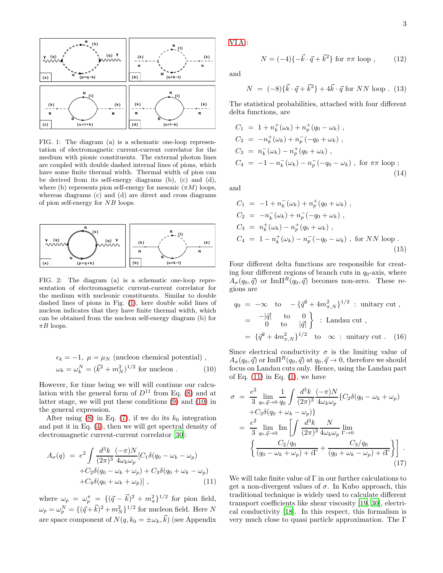

<span id="page-2-0"></span>FIG. 1: The diagram (a) is a schematic one-loop representation of electromagnetic current-current correlator for the medium with pionic constituents. The external photon lines are coupled with double dashed internal lines of pions, which have some finite thermal width. Thermal width of pion can be derived from its self-energy diagrams (b), (c) and (d), where (b) represents pion self-energy for mesonic  $(\pi M)$  loops, whereas diagrams (c) and (d) are direct and cross diagrams of pion self-energy for NB loops.



<span id="page-2-1"></span>FIG. 2: The diagram (a) is a schematic one-loop representation of electromagnetic current-current correlator for the medium with nucleonic constituents. Similar to double dashed lines of pions in Fig. [\(1\)](#page-2-0), here double solid lines of nucleon indicates that they have finite thermal width, which can be obtained from the nucleon self-energy diagram (b) for  $\pi B$  loops.

<span id="page-2-2"></span>
$$
\epsilon_k = -1, \ \mu = \mu_N \text{ (nucleon chemical potential)},
$$
  

$$
\omega_k = \omega_k^N = (\vec{k}^2 + m_N^2)^{1/2} \text{ for nucleon } . \tag{10}
$$

However, for time being we will will continue our calculation with the general form of  $D^{11}$  from Eq. [\(8\)](#page-1-5) and at latter stage, we will put these conditions [\(9\)](#page-1-6) and [\(10\)](#page-2-2) in the general expression.

After using [\(8\)](#page-1-5) in Eq. [\(7\)](#page-1-7), if we do its  $k_0$  integration and put it in Eq. [\(4\)](#page-1-4), then we will get spectral density of electromagnetic current-current correlator [\[30\]](#page-9-9):

<span id="page-2-3"></span>
$$
A_{\sigma}(q) = e^2 \int \frac{d^3k}{(2\pi)^3} \frac{(-\pi)N}{4\omega_k \omega_p} [C_1 \delta(q_0 - \omega_k - \omega_p) + C_2 \delta(q_0 - \omega_k + \omega_p) + C_3 \delta(q_0 + \omega_k - \omega_p) + C_4 \delta(q_0 + \omega_k + \omega_p)], \qquad (11)
$$

where  $\omega_p = \omega_p^{\pi} = \{(\vec{q} - \vec{k})^2 + m_{\pi}^2\}^{1/2}$  for pion field,  $\omega_p = \omega_p^N = \{ (\vec{q} + \vec{k})^2 + m_N^2 \}^{1/2}$  for nucleon field. Here N are space component of  $N(q, k_0 = \pm \omega_k, \vec{k})$  (see Appendix

[VI A\)](#page-7-1):

<span id="page-2-5"></span>
$$
N = (-4)\{-\vec{k}\cdot\vec{q} + \vec{k}^2\} \text{ for } \pi\pi \text{ loop}, \qquad (12)
$$

and

<span id="page-2-6"></span>
$$
N = (-8)\{\vec{k}\cdot\vec{q} + \vec{k}^{2}\} + 4\vec{k}\cdot\vec{q} \text{ for } NN \text{ loop}. (13)
$$

The statistical probabilities, attached with four different delta functions, are

$$
C_1 = 1 + n_k^+(\omega_k) + n_p^+(q_0 - \omega_k) ,
$$
  
\n
$$
C_2 = -n_k^+(\omega_k) + n_p^-(q_0 + \omega_k) ,
$$
  
\n
$$
C_3 = n_k^-(\omega_k) - n_p^+(q_0 + \omega_k) ,
$$
  
\n
$$
C_4 = -1 - n_k^-(\omega_k) - n_p^-(-q_0 - \omega_k) , \text{ for } \pi\pi \text{ loop } ;
$$
\n(14)

and

$$
C_1 = -1 + n_k^- (\omega_k) + n_p^+ (q_0 + \omega_k) ,
$$
  
\n
$$
C_2 = -n_k^- (\omega_k) + n_p^- (-q_0 + \omega_k) ,
$$
  
\n
$$
C_3 = n_k^+ (\omega_k) - n_p^+ (q_0 + \omega_k) ,
$$
  
\n
$$
C_4 = 1 - n_k^+ (\omega_k) - n_p^- (-q_0 - \omega_k) , \text{ for } NN \text{ loop} .
$$
\n(15)

Four different delta functions are responsible for creating four different regions of branch cuts in  $q_0$ -axis, where  $A_{\sigma}(q_0, \vec{q})$  or  ${\rm Im}\Pi^R(q_0, \vec{q})$  becomes non-zero. These regions are

$$
q_0 = -\infty \quad \text{to} \quad -\{\bar{q}^2 + 4m_{\pi,N}^2\}^{1/2} : \text{ unitary cut },
$$
  
=  $-\left|\bar{q}\right|$  to  $0$   
=  $0$  to  $|\bar{q}|$  }: Landau cut ,  
=  $\{\bar{q}^2 + 4m_{\pi,N}^2\}^{1/2}$  to  $\infty$  : unitary cut. (16)

Since electrical conductivity  $\sigma$  is the limiting value of  $A_{\sigma}(q_0, \vec{q})$  or Im $\Pi^R(q_0, \vec{q})$  at  $q_0, \vec{q} \to 0$ , therefore we should focus on Landau cuts only. Hence, using the Landau part of Eq.  $(11)$  in Eq.  $(1)$ , we have

<span id="page-2-4"></span>
$$
\sigma = \frac{e^2}{3} \lim_{q_0, \vec{q} \to 0} \frac{1}{q_0} \int \frac{d^3k}{(2\pi)^3} \frac{(-\pi)N}{4\omega_k \omega_p} \{C_2 \delta(q_0 - \omega_k + \omega_p) + C_3 \delta(q_0 + \omega_k - \omega_p) \}
$$
  
= 
$$
\frac{e^2}{3} \lim_{q_0, \vec{q} \to 0} \text{Im} \left[ \int \frac{d^3k}{(2\pi)^3} \frac{N}{4\omega_k \omega_p} \lim_{\Gamma \to 0} \right]
$$
  

$$
\left\{ \frac{C_2/q_0}{(q_0 - \omega_k + \omega_p) + i\Gamma} + \frac{C_3/q_0}{(q_0 + \omega_k - \omega_p) + i\Gamma} \right\} \right].
$$
 (17)

We will take finite value of  $\Gamma$  in our further calculations to get a non-divergent values of  $\sigma$ . In Kubo approach, this traditional technique is widely used to calculate different transport coefficients like shear viscosity [\[19,](#page-9-8) [30\]](#page-9-9), electrical conductivity [\[18](#page-9-5)]. In this respect, this formalism is very much close to quasi particle approximation. The Γ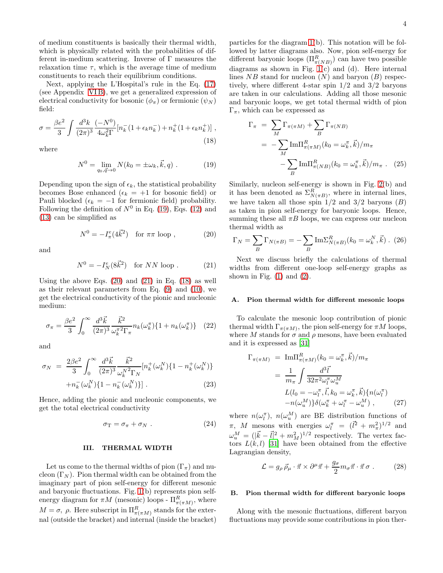of medium constituents is basically their thermal width, which is physically related with the probabilities of different in-medium scattering. Inverse of Γ measures the relaxation time  $\tau$ , which is the average time of medium constituents to reach their equilibrium conditions.

Next, applying the L'Hospital's rule in the Eq. [\(17\)](#page-2-4) (see Appendix [VI B\)](#page-8-12), we get a generalized expression of electrical conductivity for bosonic  $(\phi_{\pi})$  or fermionic  $(\psi_N)$ field:

<span id="page-3-4"></span>
$$
\sigma = \frac{\beta e^2}{3} \int \frac{d^3k}{(2\pi)^3} \frac{(-N^0)}{4\omega_k^2 \Gamma} [n_k^-(1 + \epsilon_k n_k^-) + n_k^+(1 + \epsilon_k n_k^+)],
$$
\n(18)

where

<span id="page-3-1"></span>
$$
N^{0} = \lim_{q_0, \vec{q} \to 0} N(k_0 = \pm \omega_k, \vec{k}, q) .
$$
 (19)

Depending upon the sign of  $\epsilon_k$ , the statistical probability becomes Bose enhanced  $(\epsilon_k = +1$  for bosonic field) or Pauli blocked ( $\epsilon_k = -1$  for fermionic field) probability. Following the definition of  $N^0$  in Eq. [\(19\)](#page-3-1), Eqs. [\(12\)](#page-2-5) and [\(13\)](#page-2-6) can be simplified as

<span id="page-3-2"></span>
$$
N^0 = -I^e_\pi (4\vec{k}^2) \quad \text{for } \pi\pi \text{ loop }, \tag{20}
$$

and

<span id="page-3-3"></span>
$$
N^0 = -I_N^e (8\vec{k}^2) \quad \text{for } NN \text{ loop}. \tag{21}
$$

Using the above Eqs.  $(20)$  and  $(21)$  in Eq.  $(18)$  as well as their relevant parameters from Eq.  $(9)$  and  $(10)$ , we get the electrical conductivity of the pionic and nucleonic medium:

<span id="page-3-5"></span>
$$
\sigma_{\pi} = \frac{\beta e^2}{3} \int_0^{\infty} \frac{d^3 \vec{k}}{(2\pi)^3} \frac{\vec{k}^2}{\omega_k^{\pi^2} \Gamma_{\pi}} n_k(\omega_k^{\pi}) \{1 + n_k(\omega_k^{\pi})\} \quad (22)
$$

and

$$
\sigma_N = \frac{2\beta e^2}{3} \int_0^\infty \frac{d^3 \vec{k}}{(2\pi)^3} \frac{\vec{k}^2}{\omega_k^{N^2} \Gamma_N} [n_k^+(\omega_k^N) \{1 - n_k^+(\omega_k^N)\} + n_k^-(\omega_k^N) \{1 - n_k^-(\omega_k^N)\}].
$$
\n(23)

Hence, adding the pionic and nucleonic components, we get the total electrical conductivity

$$
\sigma_{\rm T} = \sigma_{\pi} + \sigma_N \ . \tag{24}
$$

#### <span id="page-3-0"></span>III. THERMAL WIDTH

Let us come to the thermal widths of pion  $(\Gamma_{\pi})$  and nucleon  $(\Gamma_N)$ . Pion thermal width can be obtained from the imaginary part of pion self-energy for different mesonic and baryonic fluctuations. Fig. [1\(](#page-2-0)b) represents pion selfenergy diagram for  $\pi M$  (mesonic) loops -  $\Pi_{\pi(\pi M)}^R$ , where  $M = \sigma$ ,  $\rho$ . Here subscript in  $\Pi_{\pi(\pi M)}^R$  stands for the external (outside the bracket) and internal (inside the bracket)

particles for the diagram [1\(](#page-2-0)b). This notation will be followed by latter diagrams also. Now, pion self-energy for different baryonic loops  $(\Pi_{\pi(NB)}^R)$  can have two possible diagrams as shown in Fig.  $1(c)$  and  $(d)$ . Here internal lines  $NB$  stand for nucleon  $(N)$  and baryon  $(B)$  respectively, where different 4-star spin 1/2 and 3/2 baryons are taken in our calculations. Adding all those mesonic and baryonic loops, we get total thermal width of pion  $\Gamma_{\pi}$ , which can be expressed as

<span id="page-3-6"></span>
$$
\Gamma_{\pi} = \sum_{M} \Gamma_{\pi(\pi M)} + \sum_{B} \Gamma_{\pi(NB)}
$$

$$
= -\sum_{M} \text{Im}\Pi_{\pi(\pi M)}^{R}(k_0 = \omega_k^{\pi}, \vec{k})/m_{\pi}
$$

$$
- \sum_{B} \text{Im}\Pi_{\pi(NB)}^{R}(k_0 = \omega_k^{\pi}, \vec{k})/m_{\pi}. \quad (25)
$$

Similarly, nucleon self-energy is shown in Fig. [2\(](#page-2-1)b) and it has been denoted as  $\Sigma_{N(\pi B)}^R$ , where in internal lines, we have taken all those spin  $1/2$  and  $3/2$  baryons  $(B)$ as taken in pion self-energy for baryonic loops. Hence, summing these all  $\pi B$  loops, we can express our nucleon thermal width as

$$
\Gamma_N = \sum_B \Gamma_{N(\pi B)} = -\sum_B \text{Im}\Sigma^R_{N(\pi B)}(k_0 = \omega^N_k, \vec{k}) \ . \tag{26}
$$

Next we discuss briefly the calculations of thermal widths from different one-loop self-energy graphs as shown in Fig.  $(1)$  and  $(2)$ .

#### A. Pion thermal width for different mesonic loops

To calculate the mesonic loop contribution of pionic thermal width  $\Gamma_{\pi(\pi M)}$ , the pion self-energy for  $\pi M$  loops, where M stands for  $\sigma$  and  $\rho$  mesons, have been evaluated and it is expressed as [\[31\]](#page-9-10)

$$
\Gamma_{\pi(\pi M)} = \text{Im}\Pi_{\pi(\pi M)}^R (k_0 = \omega_k^{\pi}, \vec{k})/m_{\pi}
$$
\n
$$
= \frac{1}{m_{\pi}} \int \frac{d^3 \vec{l}}{32\pi^2 \omega_l^{\pi} \omega_u^M}
$$
\n
$$
L(l_0 = -\omega_l^{\pi}, \vec{l}, k_0 = \omega_k^{\pi}, \vec{k}) \{n(\omega_l^{\pi})
$$
\n
$$
-n(\omega_u^M)\} \delta(\omega_k^{\pi} + \omega_l^{\pi} - \omega_u^M), \qquad (27)
$$

where  $n(\omega_i^{\pi})$ ,  $n(\omega_u^M)$  are BE distribution functions of π, M mesons with energies  $ω_l^{\pi} = (l^2 + m_{\pi}^2)^{1/2}$  and  $\omega_u^M = (|\vec{k}-\vec{l}|^2 + m_M^2)^{1/2}$  respectively. The vertex factors  $L(k, l)$  [\[31\]](#page-9-10) have been obtained from the effective Lagrangian density,

$$
\mathcal{L} = g_{\rho} \, \vec{\rho}_{\mu} \cdot \vec{\pi} \times \partial^{\mu} \vec{\pi} + \frac{g_{\sigma}}{2} m_{\sigma} \vec{\pi} \cdot \vec{\pi} \, \sigma \; . \tag{28}
$$

## B. Pion thermal width for different baryonic loops

Along with the mesonic fluctuations, different baryon fluctuations may provide some contributions in pion ther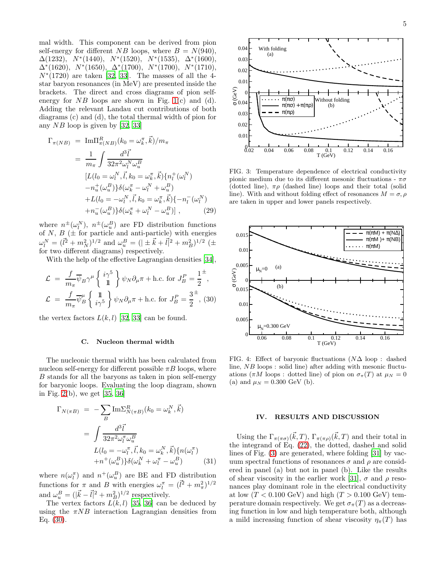mal width. This component can be derived from pion self-energy for different NB loops, where  $B = N(940)$ ,  $\Delta(1232)$ ,  $N^*(1440)$ ,  $N^*(1520)$ ,  $N^*(1535)$ ,  $\Delta^*(1600)$ ,  $\Delta^*(1620)$ ,  $N^*(1650)$ ,  $\Delta^*(1700)$ ,  $N^*(1700)$ ,  $N^*(1710)$ ,  $N*(1720)$  are taken [\[32,](#page-9-11) [33\]](#page-9-12). The masses of all the 4star baryon resonances (in MeV) are presented inside the brackets. The direct and cross diagrams of pion selfenergy for  $NB$  loops are shown in Fig. [1\(](#page-2-0)c) and (d). Adding the relevant Landau cut contributions of both diagrams (c) and (d), the total thermal width of pion for any NB loop is given by [\[32,](#page-9-11) [33\]](#page-9-12)

$$
\Gamma_{\pi(NB)} = \text{Im}\Pi_{\pi(NB)}^{R}(k_{0} = \omega_{k}^{\pi}, \vec{k})/m_{\pi}
$$
\n
$$
= \frac{1}{m_{\pi}} \int \frac{d^{3}\vec{l}}{32\pi^{2}\omega_{l}^{N}\omega_{u}^{B}}
$$
\n
$$
[L(l_{0} = \omega_{l}^{N}, \vec{l}, k_{0} = \omega_{k}^{\pi}, \vec{k})\{n_{l}^{+}(\omega_{l}^{N})
$$
\n
$$
-n_{u}^{+}(\omega_{u}^{B})\}\delta(\omega_{k}^{\pi} - \omega_{l}^{N} + \omega_{u}^{B})
$$
\n
$$
+L(l_{0} = -\omega_{l}^{N}, \vec{l}, k_{0} = \omega_{k}^{\pi}, \vec{k})\{-n_{l}^{-}(\omega_{l}^{N})
$$
\n
$$
+n_{u}^{-}(\omega_{u}^{B})\}\delta(\omega_{k}^{\pi} + \omega_{l}^{N} - \omega_{u}^{B})], \qquad (29)
$$

where  $n^{\pm}(\omega_l^N)$ ,  $n^{\pm}(\omega_u^B)$  are FD distribution functions of  $N, B$  ( $\pm$  for particle and anti-particle) with energies  $\omega_l^N = (l^2 + m_N^2)^{1/2}$  and  $\omega_u^B = (|\pm \vec{k} + \vec{l}|^2 + m_B^2)^{1/2}$  ( $\pm$ for two different diagrams) respectively.

With the help of the effective Lagrangian densities [\[34\]](#page-9-13),

<span id="page-4-1"></span>
$$
\mathcal{L} = \frac{f}{m_{\pi}} \overline{\psi}_{B} \gamma^{\mu} \left\{ \begin{array}{c} i\gamma^{5} \\ \mathbb{1} \end{array} \right\} \psi_{N} \partial_{\mu} \pi + \text{h.c. for } J_{B}^{P} = \frac{1}{2}^{\pm},
$$
  

$$
\mathcal{L} = \frac{f}{m_{\pi}} \overline{\psi}_{B}^{\mu} \left\{ \begin{array}{c} \mathbb{1} \\ i\gamma^{5} \end{array} \right\} \psi_{N} \partial_{\mu} \pi + \text{h.c. for } J_{B}^{P} = \frac{3}{2}^{\pm},
$$
(30)

the vertex factors  $L(k, l)$  [\[32,](#page-9-11) [33\]](#page-9-12) can be found.

## C. Nucleon thermal width

The nucleonic thermal width has been calculated from nucleon self-energy for different possible  $\pi B$  loops, where B stands for all the baryons as taken in pion self-energy for baryonic loops. Evaluating the loop diagram, shown in Fig. [2\(](#page-2-1)b), we get [\[35](#page-9-14), [36\]](#page-9-15)

$$
\Gamma_{N(\pi B)} = -\sum_{B} \text{Im} \Sigma_{N(\pi B)}^{R}(k_0 = \omega_k^N, \vec{k})
$$

$$
= \int \frac{d^3 \vec{l}}{32\pi^2 \omega_l^{\pi} \omega_u^B}
$$

$$
L(l_0 = -\omega_l^{\pi}, \vec{l}, k_0 = \omega_k^N, \vec{k}) \{n(\omega_l^{\pi})
$$

$$
+ n^+(\omega_u^B) \delta(\omega_k^N + \omega_l^{\pi} - \omega_u^B)
$$
(31)

where  $n(\omega_i^{\pi})$  and  $n^+(\omega_i^B)$  are BE and FD distribution functions for  $\pi$  and B with energies  $\omega_l^{\pi} = (\vec{l}^2 + m_{\pi}^2)^{1/2}$ and  $\omega_u^B = (|\vec{k}-\vec{l}|^2 + m_B^2)^{1/2}$  respectively.

The vertex factors  $L(k, l)$  [\[35](#page-9-14), [36\]](#page-9-15) can be deduced by using the  $\pi NB$  interaction Lagrangian densities from Eq. [\(30\)](#page-4-1).



<span id="page-4-2"></span>FIG. 3: Temperature dependence of electrical conductivity pionic medium due to its different mesonic fluctuations -  $\pi\sigma$ (dotted line),  $\pi \rho$  (dashed line) loops and their total (solid line). With and without folding effect of resonances  $M = \sigma, \rho$ are taken in upper and lower panels respectively.



<span id="page-4-3"></span>FIG. 4: Effect of baryonic fluctuations  $(N\Delta \log)$ : dashed line, NB loops : solid line) after adding with mesonic fluctuations ( $\pi M$  loops : dotted line) of pion on  $\sigma_{\pi}(T)$  at  $\mu_N = 0$ (a) and  $\mu_N = 0.300 \text{ GeV (b)}$ .

## <span id="page-4-0"></span>IV. RESULTS AND DISCUSSION

Using the  $\Gamma_{\pi(\pi\sigma)}(\vec{k},T)$ ,  $\Gamma_{\pi(\pi\rho)}(\vec{k},T)$  and their total in the integrand of Eq. [\(22\)](#page-3-5), the dotted, dashed and solid lines of Fig. [\(3\)](#page-4-2) are generated, where folding [\[31](#page-9-10)] by vacuum spectral functions of resonances  $\sigma$  and  $\rho$  are considered in panel (a) but not in panel (b). Like the results of shear viscosity in the earlier work [\[31\]](#page-9-10),  $\sigma$  and  $\rho$  resonances play dominant role in the electrical conductivity at low  $(T < 0.100 \text{ GeV})$  and high  $(T > 0.100 \text{ GeV})$  temperature domain respectively. We get  $\sigma_{\pi}(T)$  as a decreasing function in low and high temperature both, although a mild increasing function of shear viscosity  $\eta_{\pi}(T)$  has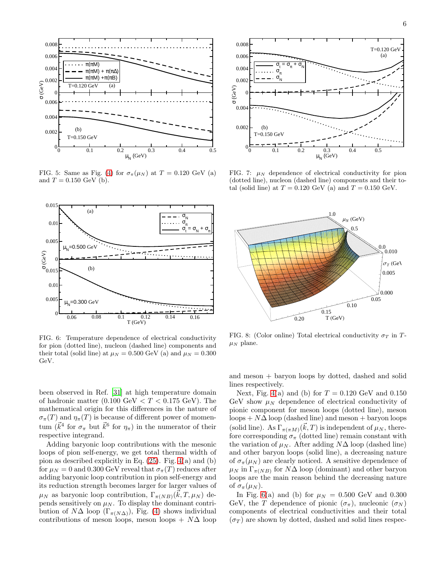

FIG. 5: Same as Fig. [\(4\)](#page-4-3) for  $\sigma_{\pi}(\mu_N)$  at  $T = 0.120$  GeV (a) and  $T = 0.150 \text{ GeV (b)}$ .



<span id="page-5-0"></span>FIG. 6: Temperature dependence of electrical conductivity for pion (dotted line), nucleon (dashed line) components and their total (solid line) at  $\mu_N = 0.500$  GeV (a) and  $\mu_N = 0.300$ GeV.

been observed in Ref. [\[31\]](#page-9-10) at high temperature domain of hadronic matter  $(0.100 \text{ GeV} < T < 0.175 \text{ GeV})$ . The mathematical origin for this differences in the nature of  $\sigma_{\pi}(T)$  and  $\eta_{\pi}(T)$  is because of different power of momentum ( $\vec{k}^4$  for  $\sigma_{\pi}$  but  $\vec{k}^6$  for  $\eta_{\pi}$ ) in the numerator of their respective integrand.

Adding baryonic loop contributions with the mesonic loops of pion self-energy, we get total thermal width of pion as described explicitly in Eq. [\(25\)](#page-3-6). Fig. [4\(](#page-4-3)a) and (b) for  $\mu_N = 0$  and 0.300 GeV reveal that  $\sigma_\pi(T)$  reduces after adding baryonic loop contribution in pion self-energy and its reduction strength becomes larger for larger values of  $\mu_N$  as baryonic loop contribution,  $\Gamma_{\pi(NB)}(\vec{k},T,\mu_N)$  depends sensitively on  $\mu_N$ . To display the dominant contribution of  $N\Delta$  loop  $(\Gamma_{\pi(N\Delta)})$ , Fig. [\(4\)](#page-4-3) shows individual contributions of meson loops, meson loops +  $N\Delta$  loop



<span id="page-5-1"></span>FIG. 7:  $\mu$ <sub>N</sub> dependence of electrical conductivity for pion (dotted line), nucleon (dashed line) components and their total (solid line) at  $T = 0.120$  GeV (a) and  $T = 0.150$  GeV.



<span id="page-5-2"></span>FIG. 8: (Color online) Total electrical conductivity  $\sigma_T$  in T- $\mu_N$  plane.

and meson + baryon loops by dotted, dashed and solid lines respectively.

Next, Fig. [4\(](#page-4-3)a) and (b) for  $T = 0.120$  GeV and 0.150 GeV show  $\mu_N$  dependence of electrical conductivity of pionic component for meson loops (dotted line), meson  $\text{loops} + N\Delta \text{ loop}$  (dashed line) and meson + baryon loops (solid line). As  $\Gamma_{\pi(\pi M)}(\vec{k},T)$  is independent of  $\mu_N$ , therefore corresponding  $\sigma_{\pi}$  (dotted line) remain constant with the variation of  $\mu_N$ . After adding N $\Delta$  loop (dashed line) and other baryon loops (solid line), a decreasing nature of  $\sigma_{\pi}(\mu_N)$  are clearly noticed. A sensitive dependence of  $\mu_N$  in  $\Gamma_{\pi(NB)}$  for  $N\Delta$  loop (dominant) and other baryon loops are the main reason behind the decreasing nature of  $\sigma_{\pi}(\mu_N)$ .

In Fig. [6\(](#page-5-0)a) and (b) for  $\mu = 0.500$  GeV and 0.300 GeV, the T dependence of pionic  $(\sigma_{\pi})$ , nucleonic  $(\sigma_N)$ components of electrical conductivities and their total  $(\sigma_T)$  are shown by dotted, dashed and solid lines respec-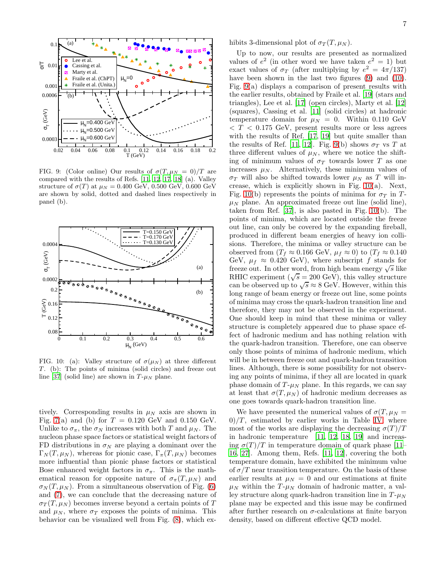

<span id="page-6-1"></span>FIG. 9: (Color online) Our results of  $\sigma(T, \mu_N = 0)/T$  are compared with the results of Refs. [\[11](#page-8-10), [12](#page-8-11), [17,](#page-9-1) [18](#page-9-5)] (a). Valley structure of  $\sigma(T)$  at  $\mu_N = 0.400 \text{ GeV}, 0.500 \text{ GeV}, 0.600 \text{ GeV}$ are shown by solid, dotted and dashed lines respectively in panel (b).



<span id="page-6-0"></span>FIG. 10: (a): Valley structure of  $\sigma(\mu_N)$  at three different  $T$ . (b): The points of minima (solid circles) and freeze out line [\[37](#page-9-16)] (solid line) are shown in  $T-\mu_N$  plane.

tively. Corresponding results in  $\mu_N$  axis are shown in Fig. [7\(](#page-5-1)a) and (b) for  $T = 0.120 \text{ GeV}$  and 0.150 GeV. Unlike to  $\sigma_{\pi}$ , the  $\sigma_{N}$  increases with both T and  $\mu_{N}$ . The nucleon phase space factors or statistical weight factors of FD distributions in  $\sigma_N$  are playing a dominant over the  $\Gamma_N(T, \mu_N)$ , whereas for pionic case,  $\Gamma_\pi(T, \mu_N)$  becomes more influential than pionic phase factors or statistical Bose enhanced weight factors in  $\sigma_{\pi}$ . This is the mathematical reason for opposite nature of  $\sigma_{\pi}(T,\mu_N)$  and  $\sigma_N(T,\mu_N)$ . From a simultaneous observation of Fig. [\(6\)](#page-5-0) and [\(7\)](#page-5-1), we can conclude that the decreasing nature of  $\sigma_T(T,\mu_N)$  becomes inverse beyond a certain points of T and  $\mu_N$ , where  $\sigma_T$  exposes the points of minima. This behavior can be visualized well from Fig. [\(8\)](#page-5-2), which exhibits 3-dimensional plot of  $\sigma_T(T,\mu_N)$ .

Up to now, our results are presented as normalized values of  $e^2$  (in other word we have taken  $e^2 = 1$ ) but exact values of  $\sigma_T$  (after multiplying by  $e^2 = 4\pi/137$ ) have been shown in the last two figures [\(9\)](#page-6-1) and [\(10\)](#page-6-0). Fig. [9\(](#page-6-1)a) displays a comparison of present results with the earlier results, obtained by Fraile et al. [\[19\]](#page-9-8) (stars and triangles), Lee et al. [\[17\]](#page-9-1) (open circles), Marty et al. [\[12](#page-8-11)] (squares), Cassing et al. [\[11\]](#page-8-10) (solid circles) at hadronic temperature domain for  $\mu_N = 0$ . Within 0.110 GeV  $\langle T \rangle < 0.175$  GeV, present results more or less agrees with the results of Ref. [\[17,](#page-9-1) [19\]](#page-9-8) but quite smaller than the results of Ref. [\[11](#page-8-10), [12\]](#page-8-11). Fig. [9\(](#page-6-1)b) shows  $\sigma_T$  vs T at three different values of  $\mu_N$ , where we notice the shifting of minimum values of  $\sigma_T$  towards lower T as one increases  $\mu_N$ . Alternatively, these minimum values of  $\sigma_T$  will also be shifted towards lower  $\mu_N$  as T will increase, which is explicitly shown in Fig.  $10(a)$ . Next, Fig. [10\(](#page-6-0)b) represents the points of minima for  $\sigma_T$  in T- $\mu$ <sub>N</sub> plane. An approximated freeze out line (solid line), taken from Ref. [\[37\]](#page-9-16), is also pasted in Fig. [10\(](#page-6-0)b). The points of minima, which are located outside the freeze out line, can only be covered by the expanding fireball, produced in different beam energies of heavy ion collisions. Therefore, the minima or valley structure can be observed from  $(T_f \approx 0.166 \text{ GeV}, \mu_f \approx 0)$  to  $(T_f \approx 0.140$ GeV,  $\mu_f \approx 0.420$  GeV), where subscript f stands for freeze out. In other word, from high beam energy  $\sqrt{s}$  like RHIC experiment ( $\sqrt{s} = 200 \text{ GeV}$ ), this valley structure can be observed up to  $\sqrt{s} \approx 8$  GeV. However, within this long range of beam energy or freeze out line, some points of minima may cross the quark-hadron transition line and therefore, they may not be observed in the experiment. One should keep in mind that these minima or valley structure is completely appeared due to phase space effect of hadronic medium and has nothing relation with the quark-hadron transition. Therefore, one can observe only those points of minima of hadronic medium, which will be in between freeze out and quark-hadron transition lines. Although, there is some possibility for not observing any points of minima, if they all are located in quark phase domain of  $T$ - $\mu$ <sub>N</sub> plane. In this regards, we can say at least that  $\sigma(T, \mu_N)$  of hadronic medium decreases as one goes towards quark-hadron transition line.

We have presented the numerical values of  $\sigma(T, \mu_N =$  $0$ /T, estimated by earlier works in Table [IV,](#page-6-0) where most of the works are displaying the decreasing  $\sigma(T)/T$ in hadronic temperature [\[11](#page-8-10), [12,](#page-8-11) [18,](#page-9-5) [19\]](#page-9-8) and increasing  $\sigma(T)/T$  in temperature domain of quark phase [\[11](#page-8-10)– [16,](#page-9-0) [27\]](#page-9-4). Among them, Refs. [\[11](#page-8-10), [12\]](#page-8-11), covering the both temperature domain, have exhibited the minimum value of  $\sigma/T$  near transition temperature. On the basis of these earlier results at  $\mu_N = 0$  and our estimations at finite  $\mu_N$  within the T- $\mu_N$  domain of hadronic matter, a valley structure along quark-hadron transition line in  $T - \mu<sub>N</sub>$ plane may be expected and this issue may be confirmed after further research on  $\sigma$ -calculations at finite baryon density, based on different effective QCD model.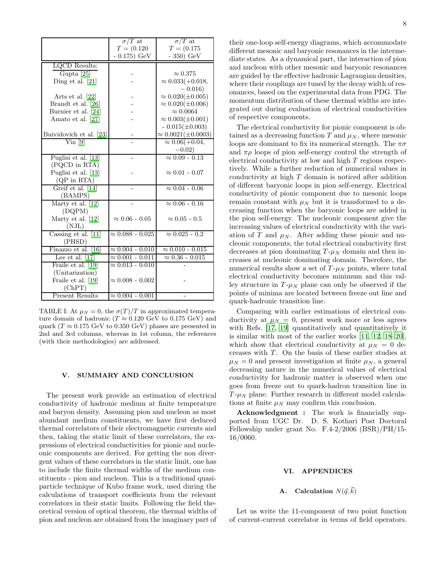|                         | $\sigma/T$ at             | $\sigma/T$ at                |
|-------------------------|---------------------------|------------------------------|
|                         | $T = (0.120)$             | $T = (0.175)$                |
|                         | $-0.175) GeV$             | $-350) GeV$                  |
| LQCD Results:           |                           |                              |
| Gupta [25]              |                           | $\approx 0.375$              |
| Ding et al. $[21]$      |                           | $\approx 0.033(+0.018,$      |
|                         |                           | $-0.016$                     |
| Arts et al. $[22]$      |                           | $\approx 0.020(\pm 0.005)$   |
| Brandt et al. [26]      |                           | $\approx 0.020(\pm 0.006)$   |
| Burnier et al. [24]     |                           | $\approx 0.0064$             |
| Amato et al. [27]       |                           | $\approx 0.003(\pm 0.001)$   |
|                         |                           | $-0.015(\pm 0.003)$          |
| Buividovich et al. [23] |                           | $\approx 0.0021(\pm 0.0003)$ |
| $\mathrm{Yin}$ [9]      |                           | $\approx 0.06(+0.04,$        |
|                         |                           | $-0.02)$                     |
| Puglisi et al. [13]     |                           | $\approx 0.09 - 0.13$        |
| (PQCD in RTA)           |                           |                              |
| Puglisi et al. [13]     |                           | $\approx 0.01 - 0.07$        |
| $(QP \text{ in RTA})$   |                           |                              |
| Greif et al. [14]       |                           | $\approx 0.04 - 0.06$        |
| (BAMPS)                 |                           |                              |
| Marty et al. [12]       |                           | $\approx 0.06 - 0.16$        |
| (DQPM)                  |                           |                              |
| Marty et al. [12]       | $\approx 0.06 - 0.05$     | $\approx 0.05 - 0.5$         |
| (NJL)                   |                           |                              |
| Cassing et al. [11]     | $\approx 0.088 - 0.025$   | $\approx 0.025 - 0.2$        |
| (PHSD)                  |                           |                              |
| Finazzo et al. [16]     | $\approx 0.004$ - $0.010$ | $\approx 0.010 - 0.015$      |
| Lee et al. $[17]$       | $\approx 0.001 - 0.011$   | $\approx 0.36 - 0.015$       |
| Fraile et al. [19]      | $\approx 0.013 - 0.010$   |                              |
| (Unitarization)         |                           |                              |
| Fraile et al. [19]      | $\approx 0.008 - 0.002$   |                              |
| (ChPT)                  |                           |                              |
| <b>Present Results</b>  | $\approx 0.004 - 0.001$   |                              |

TABLE I: At  $\mu_N = 0$ , the  $\sigma(T)/T$  in approximated temperature domain of hadronic ( $T \approx 0.120$  GeV to 0.175 GeV) and quark ( $T \approx 0.175$  GeV to 0.350 GeV) phases are presented in 2nd and 3rd columns, whereas in 1st column, the references (with their methodologies) are addressed.

### <span id="page-7-0"></span>V. SUMMARY AND CONCLUSION

The present work provide an estimation of electrical conductivity of hadronic medium at finite temperature and baryon density. Assuming pion and nucleon as most abundant medium constituents, we have first deduced thermal correlators of their electromagnetic currents and then, taking the static limit of these correlators, the expressions of electrical conductivities for pionic and nucleonic components are derived. For getting the non divergent values of these correlators in the static limit, one has to include the finite thermal widths of the medium constituents - pion and nucleon. This is a traditional quasiparticle technique of Kubo frame work, used during the calculations of transport coefficients from the relevant correlators in their static limits. Following the field theoretical version of optical theorem, the thermal widths of pion and nucleon are obtained from the imaginary part of their one-loop self-energy diagrams, which accommodate different mesonic and baryonic resonances in the intermediate states. As a dynamical part, the interaction of pion and nucleon with other mesonic and baryonic resonances are guided by the effective hadronic Lagrangian densities, where their couplings are tuned by the decay width of resonances, based on the experimental data from PDG. The momentum distribution of these thermal widths are integrated out during evaluation of electrical conductivities of respective components.

The electrical conductivity for pionic component is obtained as a decreasing function T and  $\mu_N$ , where mesonic loops are dominant to fix its numerical strength. The  $\pi\sigma$ and  $\pi \rho$  loops of pion self-energy control the strength of electrical conductivity at low and high T regions respectively. While a further reduction of numerical values in conductivity at high T domain is noticed after addition of different baryonic loops in pion self-energy. Electrical conductivity of pionic component due to mesonic loops remain constant with  $\mu_N$  but it is transformed to a decreasing function when the baryonic loops are added in the pion self-energy. The nucleonic component give the increasing values of electrical conductivity with the variation of T and  $\mu_N$ . After adding these pionic and nucleonic components, the total electrical conductivity first decreases at pion dominating  $T-\mu_N$  domain and then increases at nucleonic dominating domain. Therefore, the numerical results show a set of  $T-\mu_N$  points, where total electrical conductivity becomes minimum and this valley structure in  $T$ - $\mu$ <sub>N</sub> plane can only be observed if the points of minima are located between freeze out line and quark-hadronic transition line.

Comparing with earlier estimations of electrical conductivity at  $\mu_N = 0$ , present work more or less agrees with Refs. [\[17,](#page-9-1) [19](#page-9-8)] quantitatively and quantitatively it is similar with most of the earlier works [\[11](#page-8-10), [12](#page-8-11), [18](#page-9-5)[–20\]](#page-9-2), which show that electrical conductivity at  $\mu_N = 0$  decreases with T. On the basis of these earlier studies at  $\mu_N = 0$  and present investigation at finite  $\mu_N$ , a general decreasing nature in the numerical values of electrical conductivity for hadronic matter is observed when one goes from freeze out to quark-hadron transition line in  $T-\mu_N$  plane. Further research in different model calculations at finite  $\mu_N$  may confirm this conclusion.

Acknowledgment : The work is financially supported from UGC Dr. D. S. Kothari Post Doctoral Fellowship under grant No. F.4-2/2006 (BSR)/PH/15- 16/0060.

#### VI. APPENDICES

# <span id="page-7-1"></span>**A.** Calculation  $N(\vec{q}, \vec{k})$

Let us write the 11-component of two point function of current-current correlator in terms of field operators.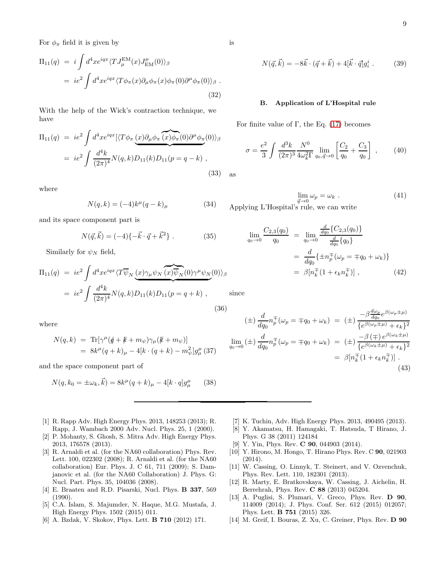For  $\phi_{\pi}$  field it is given by

$$
\Pi_{11}(q) = i \int d^4x e^{iqx} \langle T J_{\mu}^{EM}(x) J_{\text{EM}}^{\mu}(0) \rangle_{\beta}
$$
  
=  $ie^2 \int d^4x e^{iqx} \langle T \phi_{\pi}(x) \partial_{\mu} \phi_{\pi}(x) \phi_{\pi}(0) \partial^{\mu} \phi_{\pi}(0) \rangle_{\beta}$ . (32)

With the help of the Wick's contraction technique, we have

$$
\Pi_{11}(q) = ie^2 \int d^4x e^{iqx} [\langle T\phi_{\pi} (x)\partial_{\mu}\phi_{\pi} (x)\phi_{\pi}(0)\partial^{\mu}\phi_{\pi}(0)\rangle_{\beta}
$$
  
=  $ie^2 \int \frac{d^4k}{(2\pi)^4} N(q,k)D_{11}(k)D_{11}(p=q-k)$ , (33)

where

$$
N(q,k) = (-4)k^{\mu}(q-k)_{\mu}
$$
 (34)

and its space component part is

$$
N(\vec{q}, \vec{k}) = (-4)\{-\vec{k} \cdot \vec{q} + \vec{k}^2\} .
$$
 (35)

Similarly for  $\psi_N$  field,

$$
\Pi_{11}(q) = ie^2 \int d^4x e^{iqx} \langle T \overline{\psi}_N \underbrace{(x)\gamma_\mu \psi_N \overline{(x)} \overline{\psi}_N(0)\gamma^\mu \psi_N}(0) \rangle_\beta
$$
  
=  $ie^2 \int \frac{d^4k}{(2\pi)^4} N(q,k) D_{11}(k) D_{11}(p = q + k)$ , (36)

where

$$
N(q,k) = \text{Tr}[\gamma^{\mu}(\cancel{q} + \cancel{k} + m_{\psi})\gamma_{\mu}(\cancel{k} + m_{\psi})]
$$
  
=  $8k^{\mu}(q+k)_{\mu} - 4[k \cdot (q+k) - m_{\psi}^{2}]g_{\mu}^{\mu}$  (37)

and the space component part of

$$
N(q, k_0 = \pm \omega_k, \vec{k}) = 8k^{\mu}(q + k)_{\mu} - 4[k \cdot q]g^{\mu}_{\mu} \qquad (38)
$$

- <span id="page-8-0"></span>[1] R. Rapp Adv. High Energy Phys. 2013, 148253 (2013); R. Rapp, J. Wambach 2000 Adv. Nucl. Phys. 25, 1 (2000).
- <span id="page-8-1"></span>[2] P. Mohanty, S. Ghosh, S. Mitra Adv. High Energy Phys. 2013, 176578 (2013).
- <span id="page-8-2"></span>[3] R. Arnaldi et al. (for the NA60 collaboration) Phys. Rev. Lett. 100, 022302 (2008); R. Arnaldi et al. (for the NA60 collaboration) Eur. Phys. J. C 61, 711 (2009); S. Damjanovic et al. (for the NA60 Collaboration) J. Phys. G: Nucl. Part. Phys. 35, 104036 (2008).
- <span id="page-8-3"></span>[4] E. Braaten and R.D. Pisarski, Nucl. Phys. B 337, 569 (1990).
- <span id="page-8-4"></span>[5] C.A. Islam, S. Majumder, N. Haque, M.G. Mustafa, J. High Energy Phys. 1502 (2015) 011.
- <span id="page-8-5"></span>[6] A. Bzdak, V. Skokov, Phys. Lett. B 710 (2012) 171.
- <span id="page-8-6"></span>[7] K. Tuchin, Adv. High Energy Phys. 2013, 490495 (2013).
- <span id="page-8-7"></span>[8] Y. Akamatsu, H. Hamagaki, T. Hatsuda, T Hirano, J. Phys. G 38 (2011) 124184
- <span id="page-8-8"></span>[9] Y. Yin, Phys. Rev. C 90, 044903 (2014).
- <span id="page-8-9"></span>[10] Y. Hirono, M. Hongo, T. Hirano Phys. Rev. C 90, 021903 (2014).
- <span id="page-8-10"></span>[11] W. Cassing, O. Linnyk, T. Steinert, and V. Ozvenchuk, Phys. Rev. Lett. 110, 182301 (2013).
- <span id="page-8-11"></span>[12] R. Marty, E. Bratkovskaya, W. Cassing, J. Aichelin, H. Berrehrah, Phys. Rev. C 88 (2013) 045204.
- <span id="page-8-13"></span>[13] A. Puglisi, S. Plumari, V. Greco, Phys. Rev. D 90, 114009 (2014); J. Phys. Conf. Ser. 612 (2015) 012057; Phys. Lett. B 751 (2015) 326.
- <span id="page-8-14"></span>[14] M. Greif, I. Bouras, Z. Xu, C. Greiner, Phys. Rev. D 90

$$
N(\vec{q}, \vec{k}) = -8\vec{k} \cdot (\vec{q} + \vec{k}) + 4[\vec{k} \cdot \vec{q}]g_i^i .
$$
 (39)

#### <span id="page-8-12"></span>B. Application of L'Hospital rule

For finite value of Γ, the Eq.  $(17)$  becomes

$$
\sigma = \frac{e^2}{3} \int \frac{d^3k}{(2\pi)^3} \frac{N^0}{4\omega_k^2 \Gamma} \lim_{q_0, \vec{q} \to 0} \left[ \frac{C_2}{q_0} + \frac{C_3}{q_0} \right] , \qquad (40)
$$

as

$$
\lim_{\vec{q}\to 0} \omega_p = \omega_k \tag{41}
$$

 $q \rightarrow 0$   $q \rightarrow 0$   $r$  and write

$$
\lim_{q_0 \to 0} \frac{C_{2,3}(q_0)}{q_0} = \lim_{q_0 \to 0} \frac{\frac{d}{dq_0} \{C_{2,3}(q_0)\}}{\frac{d}{dq_0} \{q_0\}}
$$

$$
= \frac{d}{dq_0} \{\pm n_p^{\mp}(\omega_p = \mp q_0 + \omega_k)\}
$$

$$
= \beta [n_k^{\mp} (1 + \epsilon_k n_k^{\mp})], \qquad (42)
$$

since

 $q_0$ 

$$
(\pm) \frac{d}{dq_0} n_p^{\pm}(\omega_p = \mp q_0 + \omega_k) = (\pm) \frac{-\beta \frac{d\omega_p}{dq_0} e^{\beta(\omega_p \pm \mu)}}{\{e^{\beta(\omega_p \pm \mu)} + \epsilon_k\}^2}
$$
  

$$
\lim_{q_0 \to 0} (\pm) \frac{d}{dq_0} n_p^{\pm}(\omega_p = \mp q_0 + \omega_k) = (\pm) \frac{-\beta (\mp) e^{\beta(\omega_k \pm \mu)}}{\{e^{\beta(\omega_k \pm \mu)} + \epsilon_k\}^2}
$$
  

$$
= \beta [n_k^{\pm} (1 + \epsilon_k n_k^{\pm})].
$$
\n(43)